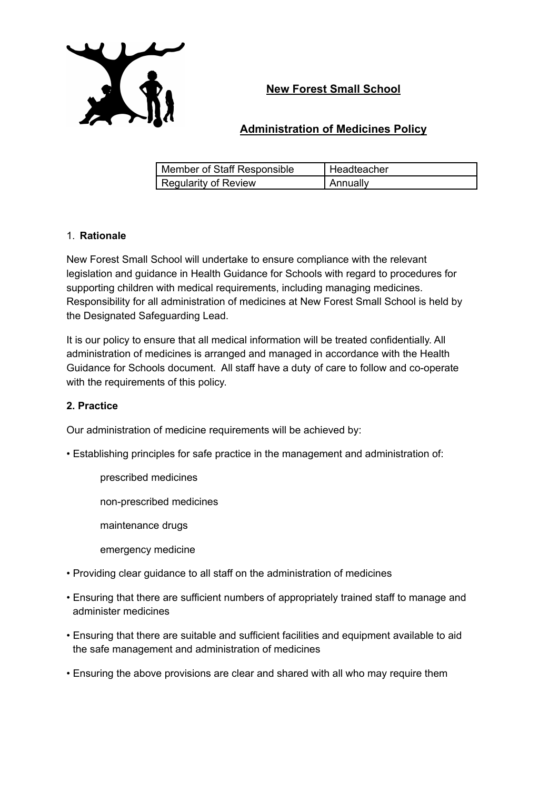

## **New Forest Small School**

## **Administration of Medicines Policy**

| Member of Staff Responsible | l Headteacher         |
|-----------------------------|-----------------------|
| <b>Regularity of Review</b> | <sub>I</sub> Annually |

#### 1. **Rationale**

New Forest Small School will undertake to ensure compliance with the relevant legislation and guidance in Health Guidance for Schools with regard to procedures for supporting children with medical requirements, including managing medicines. Responsibility for all administration of medicines at New Forest Small School is held by the Designated Safeguarding Lead.

It is our policy to ensure that all medical information will be treated confidentially. All administration of medicines is arranged and managed in accordance with the Health Guidance for Schools document. All staff have a duty of care to follow and co-operate with the requirements of this policy.

#### **2. Practice**

Our administration of medicine requirements will be achieved by:

- Establishing principles for safe practice in the management and administration of:
	- prescribed medicines
	- non-prescribed medicines
	- maintenance drugs
	- emergency medicine
- Providing clear guidance to all staff on the administration of medicines
- Ensuring that there are sufficient numbers of appropriately trained staff to manage and administer medicines
- Ensuring that there are suitable and sufficient facilities and equipment available to aid the safe management and administration of medicines
- Ensuring the above provisions are clear and shared with all who may require them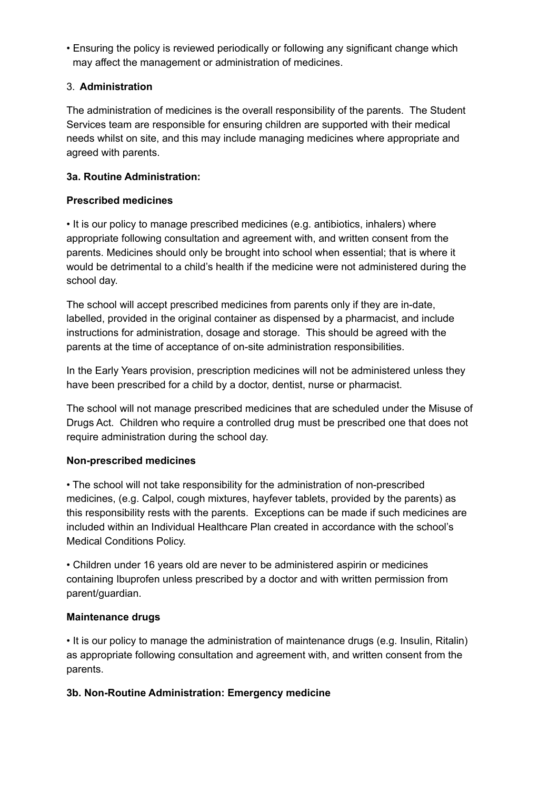• Ensuring the policy is reviewed periodically or following any significant change which may affect the management or administration of medicines.

#### 3. **Administration**

The administration of medicines is the overall responsibility of the parents. The Student Services team are responsible for ensuring children are supported with their medical needs whilst on site, and this may include managing medicines where appropriate and agreed with parents.

#### **3a. Routine Administration:**

#### **Prescribed medicines**

• It is our policy to manage prescribed medicines (e.g. antibiotics, inhalers) where appropriate following consultation and agreement with, and written consent from the parents. Medicines should only be brought into school when essential; that is where it would be detrimental to a child's health if the medicine were not administered during the school day.

The school will accept prescribed medicines from parents only if they are in-date, labelled, provided in the original container as dispensed by a pharmacist, and include instructions for administration, dosage and storage. This should be agreed with the parents at the time of acceptance of on-site administration responsibilities.

In the Early Years provision, prescription medicines will not be administered unless they have been prescribed for a child by a doctor, dentist, nurse or pharmacist.

The school will not manage prescribed medicines that are scheduled under the Misuse of Drugs Act. Children who require a controlled drug must be prescribed one that does not require administration during the school day.

#### **Non-prescribed medicines**

• The school will not take responsibility for the administration of non-prescribed medicines, (e.g. Calpol, cough mixtures, hayfever tablets, provided by the parents) as this responsibility rests with the parents. Exceptions can be made if such medicines are included within an Individual Healthcare Plan created in accordance with the school's Medical Conditions Policy.

• Children under 16 years old are never to be administered aspirin or medicines containing Ibuprofen unless prescribed by a doctor and with written permission from parent/guardian.

#### **Maintenance drugs**

• It is our policy to manage the administration of maintenance drugs (e.g. Insulin, Ritalin) as appropriate following consultation and agreement with, and written consent from the parents.

#### **3b. Non-Routine Administration: Emergency medicine**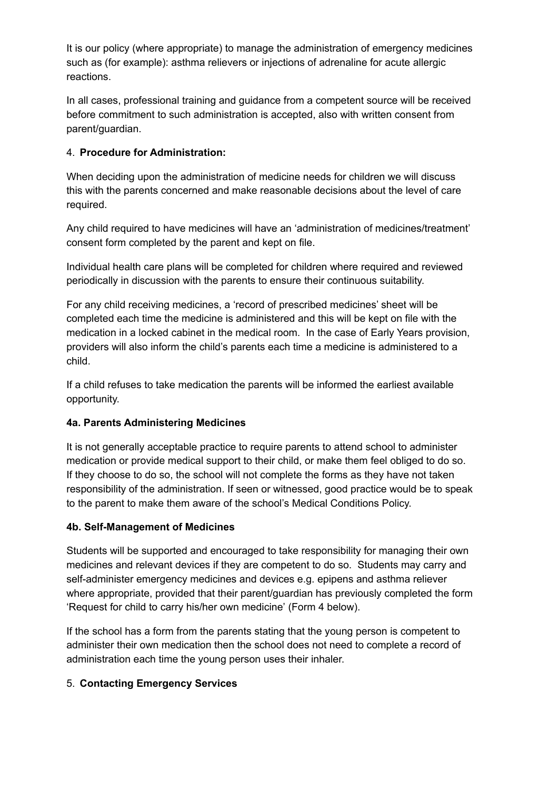It is our policy (where appropriate) to manage the administration of emergency medicines such as (for example): asthma relievers or injections of adrenaline for acute allergic reactions.

In all cases, professional training and guidance from a competent source will be received before commitment to such administration is accepted, also with written consent from parent/guardian.

#### 4. **Procedure for Administration:**

When deciding upon the administration of medicine needs for children we will discuss this with the parents concerned and make reasonable decisions about the level of care required.

Any child required to have medicines will have an 'administration of medicines/treatment' consent form completed by the parent and kept on file.

Individual health care plans will be completed for children where required and reviewed periodically in discussion with the parents to ensure their continuous suitability.

For any child receiving medicines, a 'record of prescribed medicines' sheet will be completed each time the medicine is administered and this will be kept on file with the medication in a locked cabinet in the medical room. In the case of Early Years provision, providers will also inform the child's parents each time a medicine is administered to a child.

If a child refuses to take medication the parents will be informed the earliest available opportunity.

#### **4a. Parents Administering Medicines**

It is not generally acceptable practice to require parents to attend school to administer medication or provide medical support to their child, or make them feel obliged to do so. If they choose to do so, the school will not complete the forms as they have not taken responsibility of the administration. If seen or witnessed, good practice would be to speak to the parent to make them aware of the school's Medical Conditions Policy.

#### **4b. Self-Management of Medicines**

Students will be supported and encouraged to take responsibility for managing their own medicines and relevant devices if they are competent to do so. Students may carry and self-administer emergency medicines and devices e.g. epipens and asthma reliever where appropriate, provided that their parent/guardian has previously completed the form 'Request for child to carry his/her own medicine' (Form 4 below).

If the school has a form from the parents stating that the young person is competent to administer their own medication then the school does not need to complete a record of administration each time the young person uses their inhaler.

#### 5. **Contacting Emergency Services**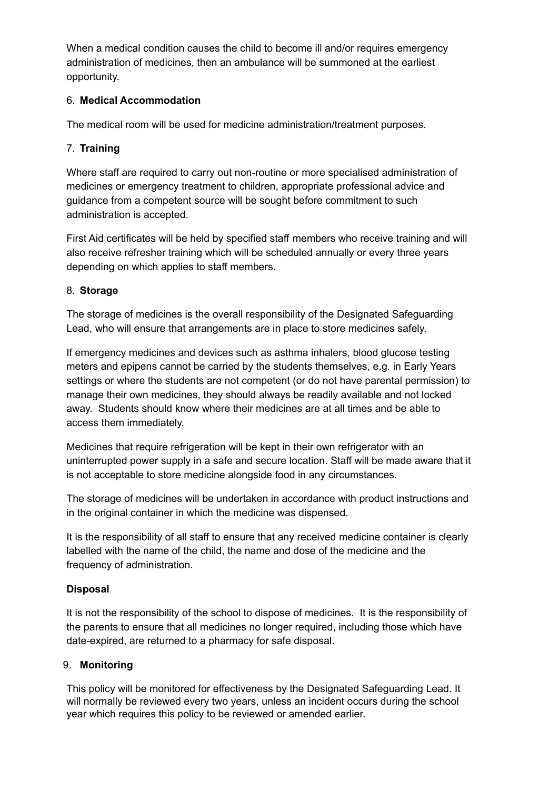When a medical condition causes the child to become ill and/or requires emergency administration of medicines, then an ambulance will be summoned at the earliest opportunity.

#### 6. **Medical Accommodation**

The medical room will be used for medicine administration/treatment purposes.

#### 7. **Training**

Where staff are required to carry out non-routine or more specialised administration of medicines or emergency treatment to children, appropriate professional advice and guidance from a competent source will be sought before commitment to such administration is accepted.

First Aid certificates will be held by specified staff members who receive training and will also receive refresher training which will be scheduled annually or every three years depending on which applies to staff members.

#### 8. **Storage**

The storage of medicines is the overall responsibility of the Designated Safeguarding Lead, who will ensure that arrangements are in place to store medicines safely.

If emergency medicines and devices such as asthma inhalers, blood glucose testing meters and epipens cannot be carried by the students themselves, e.g. in Early Years settings or where the students are not competent (or do not have parental permission) to manage their own medicines, they should always be readily available and not locked away. Students should know where their medicines are at all times and be able to access them immediately.

Medicines that require refrigeration will be kept in their own refrigerator with an uninterrupted power supply in a safe and secure location. Staff will be made aware that it is not acceptable to store medicine alongside food in any circumstances.

The storage of medicines will be undertaken in accordance with product instructions and in the original container in which the medicine was dispensed.

It is the responsibility of all staff to ensure that any received medicine container is clearly labelled with the name of the child, the name and dose of the medicine and the frequency of administration.

#### **Disposal**

It is not the responsibility of the school to dispose of medicines. It is the responsibility of the parents to ensure that all medicines no longer required, including those which have date-expired, are returned to a pharmacy for safe disposal.

#### 9. **Monitoring**

This policy will be monitored for effectiveness by the Designated Safeguarding Lead. It will normally be reviewed every two years, unless an incident occurs during the school year which requires this policy to be reviewed or amended earlier.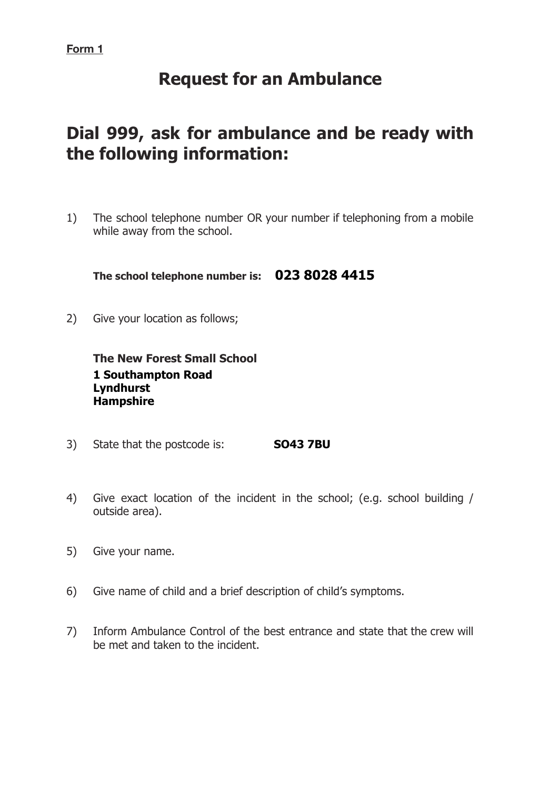# **Request for an Ambulance**

# **Dial 999, ask for ambulance and be ready with the following information:**

1) The school telephone number OR your number if telephoning from a mobile while away from the school.

**The school telephone number is: 023 8028 4415**

2) Give your location as follows;

**The New Forest Small School 1 Southampton Road Lyndhurst Hampshire**

- 3) State that the postcode is: **SO43 7BU**
- 4) Give exact location of the incident in the school; (e.g. school building / outside area).
- 5) Give your name.
- 6) Give name of child and a brief description of child's symptoms.
- 7) Inform Ambulance Control of the best entrance and state that the crew will be met and taken to the incident.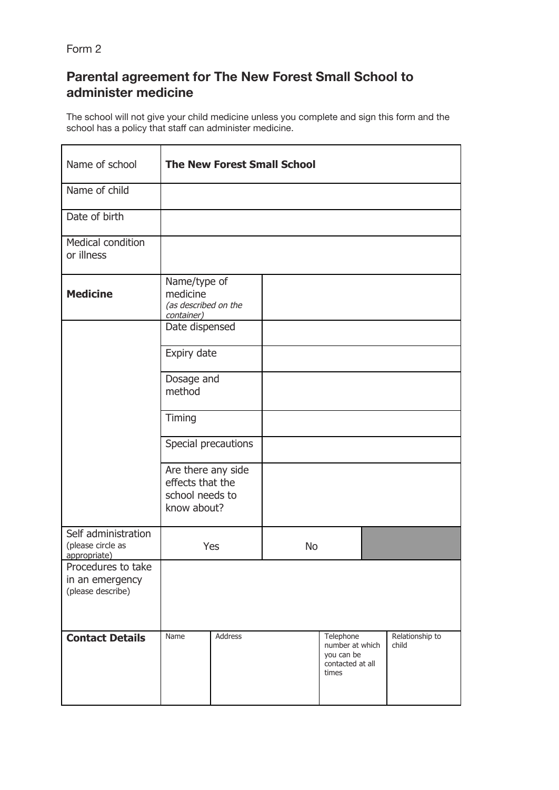Form 2

## **Parental agreement for The New Forest Small School to administer medicine**

The school will not give your child medicine unless you complete and sign this form and the school has a policy that staff can administer medicine.

| Name of school                                             | <b>The New Forest Small School</b>                                       |                     |           |                                                                         |  |                          |
|------------------------------------------------------------|--------------------------------------------------------------------------|---------------------|-----------|-------------------------------------------------------------------------|--|--------------------------|
| Name of child                                              |                                                                          |                     |           |                                                                         |  |                          |
| Date of birth                                              |                                                                          |                     |           |                                                                         |  |                          |
| <b>Medical condition</b><br>or illness                     |                                                                          |                     |           |                                                                         |  |                          |
| <b>Medicine</b>                                            | Name/type of<br>medicine<br>(as described on the<br>container)           |                     |           |                                                                         |  |                          |
|                                                            | Date dispensed                                                           |                     |           |                                                                         |  |                          |
|                                                            | Expiry date                                                              |                     |           |                                                                         |  |                          |
|                                                            | Dosage and<br>method                                                     |                     |           |                                                                         |  |                          |
|                                                            | Timing                                                                   |                     |           |                                                                         |  |                          |
|                                                            |                                                                          | Special precautions |           |                                                                         |  |                          |
|                                                            | Are there any side<br>effects that the<br>school needs to<br>know about? |                     |           |                                                                         |  |                          |
| Self administration<br>(please circle as<br>appropriate)   | Yes                                                                      |                     | <b>No</b> |                                                                         |  |                          |
| Procedures to take<br>in an emergency<br>(please describe) |                                                                          |                     |           |                                                                         |  |                          |
| <b>Contact Details</b>                                     | Name                                                                     | Address             |           | Telephone<br>number at which<br>you can be<br>contacted at all<br>times |  | Relationship to<br>child |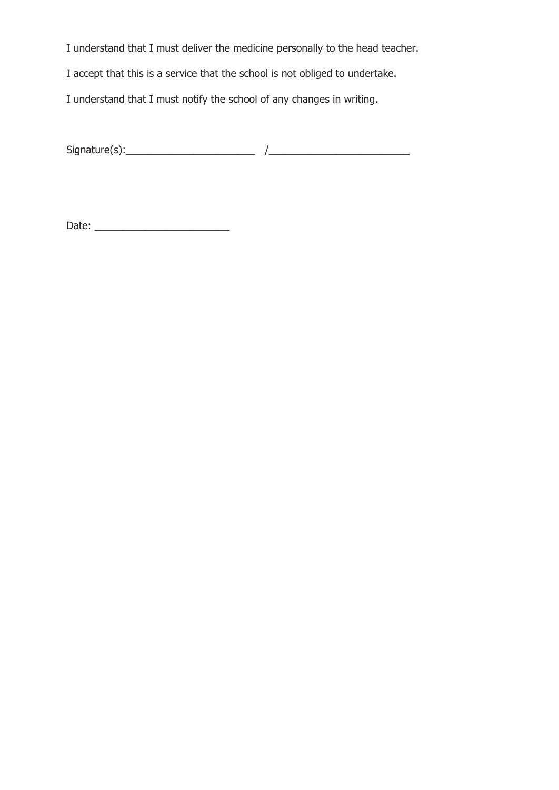I understand that I must deliver the medicine personally to the head teacher.

I accept that this is a service that the school is not obliged to undertake.

I understand that I must notify the school of any changes in writing.

Signature(s):\_\_\_\_\_\_\_\_\_\_\_\_\_\_\_\_\_\_\_\_\_\_\_ /\_\_\_\_\_\_\_\_\_\_\_\_\_\_\_\_\_\_\_\_\_\_\_\_\_

Date: \_\_\_\_\_\_\_\_\_\_\_\_\_\_\_\_\_\_\_\_\_\_\_\_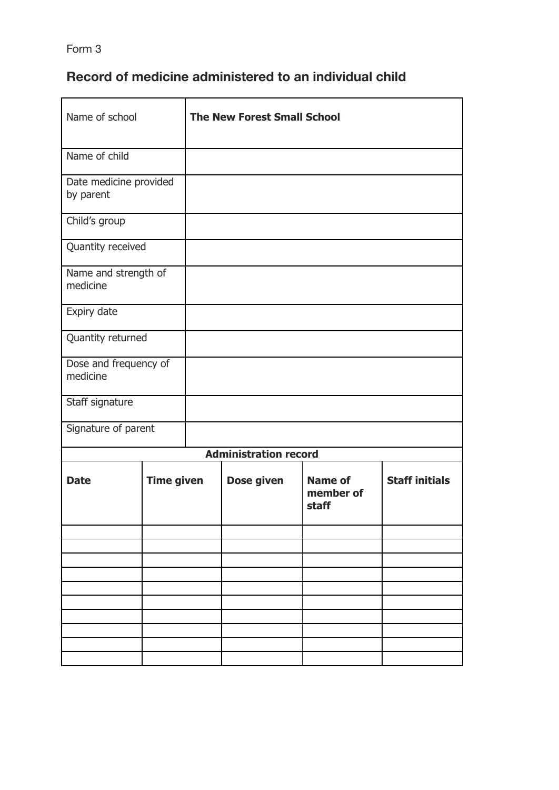Form 3

## **Record of medicine administered to an individual child**

| Name of school                      |                   | <b>The New Forest Small School</b> |            |                                      |                       |  |
|-------------------------------------|-------------------|------------------------------------|------------|--------------------------------------|-----------------------|--|
| Name of child                       |                   |                                    |            |                                      |                       |  |
| Date medicine provided<br>by parent |                   |                                    |            |                                      |                       |  |
| Child's group                       |                   |                                    |            |                                      |                       |  |
| Quantity received                   |                   |                                    |            |                                      |                       |  |
| Name and strength of<br>medicine    |                   |                                    |            |                                      |                       |  |
| Expiry date                         |                   |                                    |            |                                      |                       |  |
| Quantity returned                   |                   |                                    |            |                                      |                       |  |
| Dose and frequency of<br>medicine   |                   |                                    |            |                                      |                       |  |
| Staff signature                     |                   |                                    |            |                                      |                       |  |
| Signature of parent                 |                   |                                    |            |                                      |                       |  |
|                                     |                   | <b>Administration record</b>       |            |                                      |                       |  |
| <b>Date</b>                         | <b>Time given</b> |                                    | Dose given | <b>Name of</b><br>member of<br>staff | <b>Staff initials</b> |  |
|                                     |                   |                                    |            |                                      |                       |  |
|                                     |                   |                                    |            |                                      |                       |  |
|                                     |                   |                                    |            |                                      |                       |  |
|                                     |                   |                                    |            |                                      |                       |  |
|                                     |                   |                                    |            |                                      |                       |  |
|                                     |                   |                                    |            |                                      |                       |  |
|                                     |                   |                                    |            |                                      |                       |  |
|                                     |                   |                                    |            |                                      |                       |  |